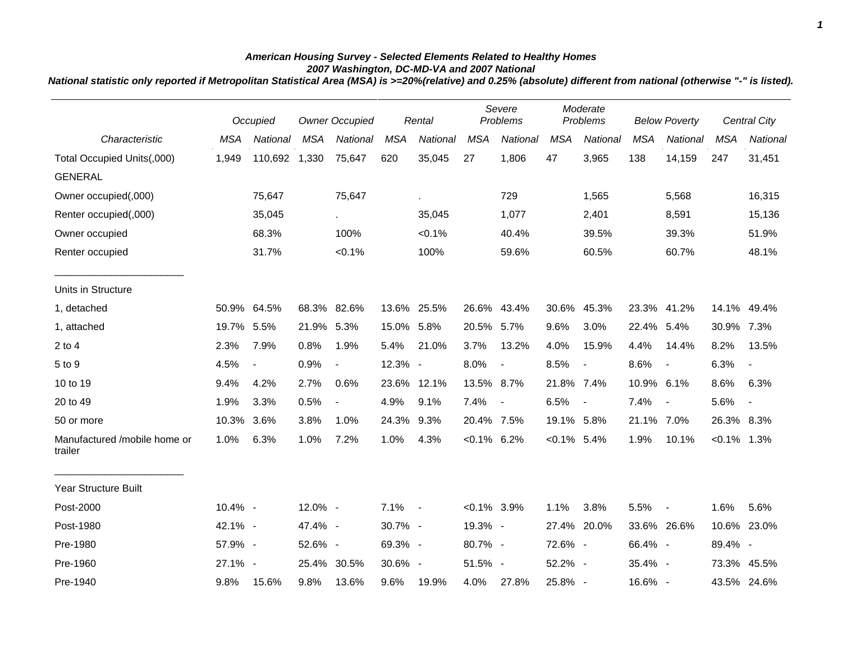## *American Housing Survey - Selected Elements Related to Healthy Homes 2007 Washington, DC-MD-VA and 2007 National*

*National statistic only reported if Metropolitan Statistical Area (MSA) is >=20%(relative) and 0.25% (absolute) different from national (otherwise "-" is listed).*

|                                         | Occupied   |                          | <b>Owner Occupied</b> |                          | Rental     |             | Severe<br>Problems |                          | Moderate<br>Problems |                          | <b>Below Poverty</b> |                          | Central City   |                          |
|-----------------------------------------|------------|--------------------------|-----------------------|--------------------------|------------|-------------|--------------------|--------------------------|----------------------|--------------------------|----------------------|--------------------------|----------------|--------------------------|
| Characteristic                          | <b>MSA</b> | National                 | <b>MSA</b>            | National                 | <b>MSA</b> | National    | <b>MSA</b>         | National                 | <b>MSA</b>           | National                 | <b>MSA</b>           | National                 | <b>MSA</b>     | National                 |
| Total Occupied Units(,000)              | 1,949      | 110,692                  | 1,330                 | 75,647                   | 620        | 35,045      | 27                 | 1,806                    | 47                   | 3,965                    | 138                  | 14,159                   | 247            | 31,451                   |
| <b>GENERAL</b>                          |            |                          |                       |                          |            |             |                    |                          |                      |                          |                      |                          |                |                          |
| Owner occupied(,000)                    |            | 75,647                   |                       | 75,647                   |            | ×.          |                    | 729                      |                      | 1,565                    |                      | 5,568                    |                | 16,315                   |
| Renter occupied(,000)                   |            | 35,045                   |                       | $\sim$                   |            | 35,045      |                    | 1,077                    |                      | 2,401                    |                      | 8,591                    |                | 15,136                   |
| Owner occupied                          |            | 68.3%                    |                       | 100%                     |            | $< 0.1\%$   |                    | 40.4%                    |                      | 39.5%                    |                      | 39.3%                    |                | 51.9%                    |
| Renter occupied                         |            | 31.7%                    |                       | $< 0.1\%$                |            | 100%        |                    | 59.6%                    |                      | 60.5%                    |                      | 60.7%                    |                | 48.1%                    |
| Units in Structure                      |            |                          |                       |                          |            |             |                    |                          |                      |                          |                      |                          |                |                          |
| 1, detached                             |            | 50.9% 64.5%              |                       | 68.3% 82.6%              |            | 13.6% 25.5% |                    | 26.6% 43.4%              | 30.6%                | 45.3%                    |                      | 23.3% 41.2%              |                | 14.1% 49.4%              |
| 1, attached                             | 19.7%      | 5.5%                     | 21.9% 5.3%            |                          | 15.0% 5.8% |             | 20.5% 5.7%         |                          | 9.6%                 | 3.0%                     | 22.4% 5.4%           |                          | 30.9%          | 7.3%                     |
| $2$ to $4$                              | 2.3%       | 7.9%                     | 0.8%                  | 1.9%                     | 5.4%       | 21.0%       | 3.7%               | 13.2%                    | 4.0%                 | 15.9%                    | 4.4%                 | 14.4%                    | 8.2%           | 13.5%                    |
| 5 to 9                                  | 4.5%       | $\overline{\phantom{a}}$ | 0.9%                  | $\overline{\phantom{a}}$ | 12.3% -    |             | 8.0%               | $\blacksquare$           | 8.5%                 | $\overline{\phantom{a}}$ | 8.6%                 | $\blacksquare$           | 6.3%           | $\overline{\phantom{a}}$ |
| 10 to 19                                | 9.4%       | 4.2%                     | 2.7%                  | 0.6%                     |            | 23.6% 12.1% | 13.5% 8.7%         |                          | 21.8% 7.4%           |                          | 10.9% 6.1%           |                          | 8.6%           | 6.3%                     |
| 20 to 49                                | 1.9%       | 3.3%                     | 0.5%                  | $\blacksquare$           | 4.9%       | 9.1%        | 7.4%               | $\overline{\phantom{a}}$ | 6.5%                 | $\overline{\phantom{a}}$ | 7.4%                 | $\blacksquare$           | 5.6%           | $\overline{\phantom{a}}$ |
| 50 or more                              | 10.3% 3.6% |                          | 3.8%                  | 1.0%                     | 24.3% 9.3% |             | 20.4% 7.5%         |                          | 19.1% 5.8%           |                          | 21.1% 7.0%           |                          | 26.3% 8.3%     |                          |
| Manufactured /mobile home or<br>trailer | 1.0%       | 6.3%                     | 1.0%                  | 7.2%                     | 1.0%       | 4.3%        | $< 0.1\%$ 6.2%     |                          | $< 0.1\%$ 5.4%       |                          | 1.9%                 | 10.1%                    | $< 0.1\%$ 1.3% |                          |
| Year Structure Built                    |            |                          |                       |                          |            |             |                    |                          |                      |                          |                      |                          |                |                          |
| Post-2000                               | 10.4% -    |                          | 12.0% -               |                          | $7.1\%$ -  |             | $<0.1\%$ 3.9%      |                          | 1.1%                 | 3.8%                     | 5.5%                 | $\overline{\phantom{a}}$ | 1.6%           | 5.6%                     |
| Post-1980                               | 42.1% -    |                          | 47.4% -               |                          | 30.7% -    |             | 19.3% -            |                          |                      | 27.4% 20.0%              |                      | 33.6% 26.6%              |                | 10.6% 23.0%              |
| Pre-1980                                | 57.9% -    |                          | 52.6% -               |                          | 69.3% -    |             | 80.7% -            |                          | 72.6% -              |                          | 66.4% -              |                          | 89.4% -        |                          |
| Pre-1960                                | 27.1% -    |                          |                       | 25.4% 30.5%              | 30.6% -    |             | 51.5% -            |                          | 52.2% -              |                          | 35.4% -              |                          | 73.3%          | 45.5%                    |
| Pre-1940                                | 9.8%       | 15.6%                    | 9.8%                  | 13.6%                    | 9.6%       | 19.9%       | 4.0%               | 27.8%                    | 25.8% -              |                          | 16.6% -              |                          |                | 43.5% 24.6%              |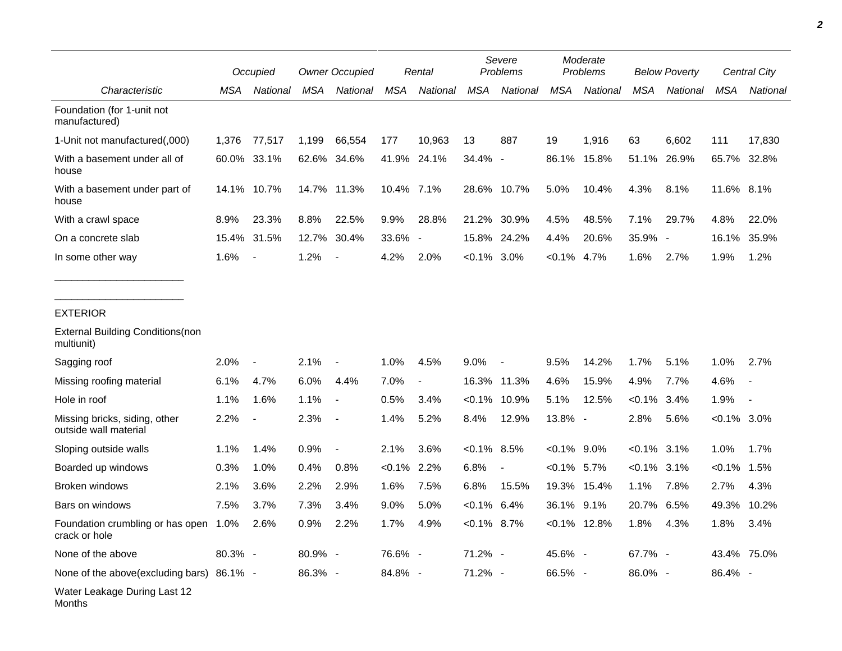|                                                             | Occupied |                          | <b>Owner Occupied</b> |                          | Rental     |                          | Severe<br>Problems |                | Moderate<br>Problems |                 | <b>Below Poverty</b> |                          | Central City  |                          |
|-------------------------------------------------------------|----------|--------------------------|-----------------------|--------------------------|------------|--------------------------|--------------------|----------------|----------------------|-----------------|----------------------|--------------------------|---------------|--------------------------|
| Characteristic                                              | MSA      | National                 | MSA                   | National                 | <b>MSA</b> | <b>National</b>          | <b>MSA</b>         | National       | <b>MSA</b>           | National        | <b>MSA</b>           | National                 | <b>MSA</b>    | National                 |
| Foundation (for 1-unit not<br>manufactured)                 |          |                          |                       |                          |            |                          |                    |                |                      |                 |                      |                          |               |                          |
| 1-Unit not manufactured(,000)                               | 1,376    | 77,517                   | 1,199                 | 66,554                   | 177        | 10,963                   | 13                 | 887            | 19                   | 1,916           | 63                   | 6,602                    | 111           | 17,830                   |
| With a basement under all of<br>house                       |          | 60.0% 33.1%              |                       | 62.6% 34.6%              |            | 41.9% 24.1%              | 34.4% -            |                | 86.1%                | 15.8%           | 51.1%                | 26.9%                    | 65.7%         | 32.8%                    |
| With a basement under part of<br>house                      |          | 14.1% 10.7%              |                       | 14.7% 11.3%              | 10.4% 7.1% |                          |                    | 28.6% 10.7%    | 5.0%                 | 10.4%           | 4.3%                 | 8.1%                     | 11.6% 8.1%    |                          |
| With a crawl space                                          | 8.9%     | 23.3%                    | 8.8%                  | 22.5%                    | 9.9%       | 28.8%                    | 21.2%              | 30.9%          | 4.5%                 | 48.5%           | 7.1%                 | 29.7%                    | 4.8%          | 22.0%                    |
| On a concrete slab                                          | 15.4%    | 31.5%                    | 12.7%                 | 30.4%                    | 33.6%      | $\overline{\phantom{a}}$ | 15.8%              | 24.2%          | 4.4%                 | 20.6%           | 35.9%                | $\overline{\phantom{a}}$ | 16.1%         | 35.9%                    |
| In some other way                                           | 1.6%     | $\overline{\phantom{a}}$ | 1.2%                  | $\overline{\phantom{a}}$ | 4.2%       | 2.0%                     | $< 0.1\%$          | $3.0\%$        | $< 0.1\%$            | 4.7%            | 1.6%                 | 2.7%                     | 1.9%          | 1.2%                     |
| <b>EXTERIOR</b>                                             |          |                          |                       |                          |            |                          |                    |                |                      |                 |                      |                          |               |                          |
| <b>External Building Conditions (non</b><br>multiunit)      |          |                          |                       |                          |            |                          |                    |                |                      |                 |                      |                          |               |                          |
| Sagging roof                                                | 2.0%     | $\overline{\phantom{a}}$ | 2.1%                  | $\overline{\phantom{a}}$ | 1.0%       | 4.5%                     | $9.0\%$            | $\blacksquare$ | 9.5%                 | 14.2%           | 1.7%                 | 5.1%                     | 1.0%          | 2.7%                     |
| Missing roofing material                                    | 6.1%     | 4.7%                     | 6.0%                  | 4.4%                     | 7.0%       | $\blacksquare$           | 16.3%              | 11.3%          | 4.6%                 | 15.9%           | 4.9%                 | 7.7%                     | 4.6%          | $\overline{\phantom{a}}$ |
| Hole in roof                                                | 1.1%     | 1.6%                     | 1.1%                  |                          | 0.5%       | 3.4%                     | $< 0.1\%$          | 10.9%          | 5.1%                 | 12.5%           | $< 0.1\%$            | 3.4%                     | 1.9%          | $\overline{\phantom{a}}$ |
| Missing bricks, siding, other<br>outside wall material      | 2.2%     | $\overline{\phantom{a}}$ | 2.3%                  |                          | 1.4%       | 5.2%                     | 8.4%               | 12.9%          | 13.8% -              |                 | 2.8%                 | 5.6%                     | $<0.1\%$ 3.0% |                          |
| Sloping outside walls                                       | 1.1%     | 1.4%                     | 0.9%                  | $\overline{\phantom{a}}$ | 2.1%       | 3.6%                     | $<0.1\%$ 8.5%      |                | $<0.1\%$ 9.0%        |                 | $< 0.1\%$            | 3.1%                     | 1.0%          | 1.7%                     |
| Boarded up windows                                          | 0.3%     | 1.0%                     | 0.4%                  | 0.8%                     | $< 0.1\%$  | 2.2%                     | 6.8%               | $\blacksquare$ | $< 0.1\%$            | 5.7%            | $< 0.1\%$            | 3.1%                     | $< 0.1\%$     | 1.5%                     |
| Broken windows                                              | 2.1%     | 3.6%                     | 2.2%                  | 2.9%                     | 1.6%       | 7.5%                     | 6.8%               | 15.5%          | 19.3%                | 15.4%           | 1.1%                 | 7.8%                     | 2.7%          | 4.3%                     |
| Bars on windows                                             | 7.5%     | 3.7%                     | 7.3%                  | 3.4%                     | 9.0%       | 5.0%                     | $< 0.1\%$          | 6.4%           | 36.1%                | 9.1%            | 20.7%                | 6.5%                     | 49.3%         | 10.2%                    |
| Foundation crumbling or has open 1.0% 2.6%<br>crack or hole |          |                          | 0.9%                  | 2.2%                     | 1.7% 4.9%  |                          | $< 0.1\%$ 8.7%     |                |                      | $< 0.1\%$ 12.8% | 1.8%                 | 4.3%                     | 1.8%          | 3.4%                     |
| None of the above                                           | 80.3% -  |                          | 80.9% -               |                          | 76.6% -    |                          | 71.2% -            |                | 45.6% -              |                 | 67.7% -              |                          |               | 43.4% 75.0%              |
| None of the above(excluding bars) 86.1% -                   |          |                          | 86.3% -               |                          | 84.8% -    |                          | 71.2% -            |                | 66.5% -              |                 | 86.0% -              |                          | 86.4% -       |                          |
| Water Leakage During Last 12<br>Months                      |          |                          |                       |                          |            |                          |                    |                |                      |                 |                      |                          |               |                          |

*2*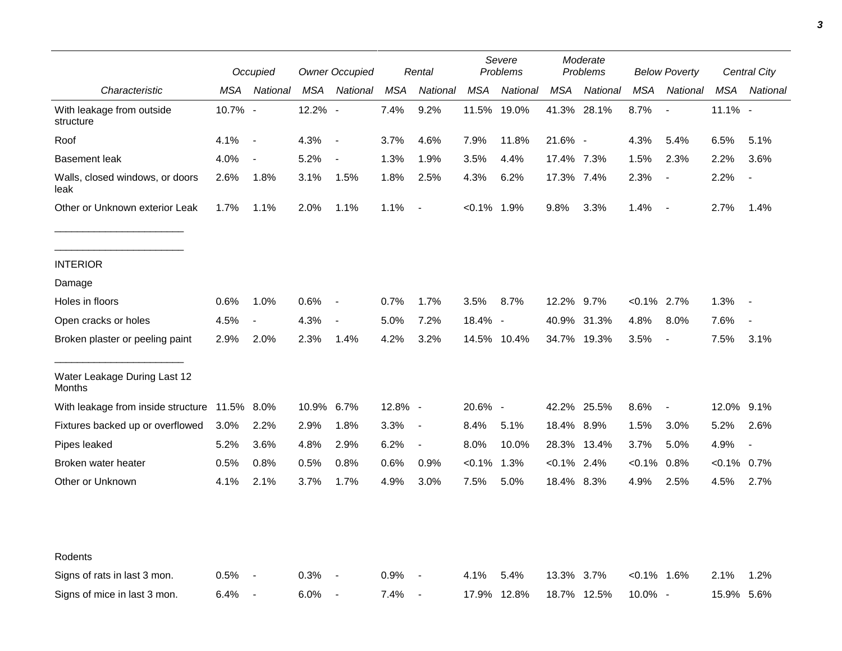|                                         | Occupied   |                          | <b>Owner Occupied</b> |                          | Rental     |                          | Severe<br><b>Problems</b> |             | Moderate<br>Problems |             | <b>Below Poverty</b> |                          | <b>Central City</b> |                          |
|-----------------------------------------|------------|--------------------------|-----------------------|--------------------------|------------|--------------------------|---------------------------|-------------|----------------------|-------------|----------------------|--------------------------|---------------------|--------------------------|
| Characteristic                          | MSA        | National                 | MSA                   | National                 | MSA        | National                 | MSA                       | National    | MSA                  | National    | <b>MSA</b>           | National                 | MSA                 | National                 |
| With leakage from outside<br>structure  | 10.7% -    |                          | 12.2% -               |                          | 7.4%       | 9.2%                     |                           | 11.5% 19.0% |                      | 41.3% 28.1% | 8.7%                 | $\overline{\phantom{a}}$ | $11.1\%$ -          |                          |
| Roof                                    | 4.1%       | $\sim$                   | 4.3%                  | $\overline{\phantom{a}}$ | 3.7%       | 4.6%                     | 7.9%                      | 11.8%       | 21.6% -              |             | 4.3%                 | 5.4%                     | 6.5%                | 5.1%                     |
| <b>Basement leak</b>                    | 4.0%       | $\overline{\phantom{a}}$ | 5.2%                  | $\overline{\phantom{a}}$ | 1.3%       | 1.9%                     | 3.5%                      | 4.4%        | 17.4% 7.3%           |             | 1.5%                 | 2.3%                     | 2.2%                | 3.6%                     |
| Walls, closed windows, or doors<br>leak | 2.6%       | 1.8%                     | 3.1%                  | 1.5%                     | 1.8%       | 2.5%                     | 4.3%                      | 6.2%        | 17.3% 7.4%           |             | 2.3%                 | $\overline{\phantom{a}}$ | 2.2%                |                          |
| Other or Unknown exterior Leak          | 1.7%       | 1.1%                     | 2.0%                  | 1.1%                     | 1.1%       | $\blacksquare$           | $< 0.1\%$ 1.9%            |             | 9.8%                 | 3.3%        | 1.4%                 | $\sim$                   | 2.7%                | 1.4%                     |
| <b>INTERIOR</b>                         |            |                          |                       |                          |            |                          |                           |             |                      |             |                      |                          |                     |                          |
| Damage                                  |            |                          |                       |                          |            |                          |                           |             |                      |             |                      |                          |                     |                          |
| Holes in floors                         | 0.6%       | 1.0%                     | 0.6%                  | $\overline{\phantom{a}}$ | 0.7%       | 1.7%                     | 3.5%                      | 8.7%        | 12.2% 9.7%           |             | $< 0.1\%$ 2.7%       |                          | 1.3%                |                          |
| Open cracks or holes                    | 4.5%       | $\blacksquare$           | 4.3%                  | $\blacksquare$           | 5.0%       | 7.2%                     | 18.4% -                   |             | 40.9%                | 31.3%       | 4.8%                 | 8.0%                     | 7.6%                | $\overline{\phantom{a}}$ |
| Broken plaster or peeling paint         | 2.9%       | 2.0%                     | 2.3%                  | 1.4%                     | 4.2%       | 3.2%                     |                           | 14.5% 10.4% |                      | 34.7% 19.3% | 3.5%                 | $\overline{\phantom{a}}$ | 7.5%                | 3.1%                     |
| Water Leakage During Last 12<br>Months  |            |                          |                       |                          |            |                          |                           |             |                      |             |                      |                          |                     |                          |
| With leakage from inside structure      | 11.5% 8.0% |                          | 10.9%                 | 6.7%                     | $12.8\%$ - |                          | 20.6% -                   |             |                      | 42.2% 25.5% | 8.6%                 | $\overline{\phantom{a}}$ | 12.0% 9.1%          |                          |
| Fixtures backed up or overflowed        | 3.0%       | 2.2%                     | 2.9%                  | 1.8%                     | 3.3%       | $\overline{\phantom{a}}$ | 8.4%                      | 5.1%        | 18.4% 8.9%           |             | 1.5%                 | 3.0%                     | 5.2%                | 2.6%                     |
| Pipes leaked                            | 5.2%       | 3.6%                     | 4.8%                  | 2.9%                     | 6.2%       | $\overline{\phantom{a}}$ | 8.0%                      | 10.0%       |                      | 28.3% 13.4% | 3.7%                 | 5.0%                     | 4.9%                |                          |
| Broken water heater                     | 0.5%       | 0.8%                     | 0.5%                  | 0.8%                     | 0.6%       | 0.9%                     | $< 0.1\%$                 | 1.3%        | $< 0.1\%$ 2.4%       |             | $< 0.1\%$            | 0.8%                     | $< 0.1\%$           | 0.7%                     |
| Other or Unknown                        | 4.1%       | 2.1%                     | 3.7%                  | 1.7%                     | 4.9%       | 3.0%                     | 7.5%                      | 5.0%        | 18.4% 8.3%           |             | 4.9%                 | 2.5%                     | 4.5%                | 2.7%                     |
| Rodents                                 |            |                          |                       |                          |            |                          |                           |             |                      |             |                      |                          |                     |                          |
| Signs of rats in last 3 mon.            | 0.5%       | $\overline{\phantom{a}}$ | 0.3%                  |                          | 0.9%       | $\overline{\phantom{a}}$ | 4.1%                      | 5.4%        | 13.3% 3.7%           |             | $< 0.1\%$ 1.6%       |                          | 2.1%                | 1.2%                     |
| Signs of mice in last 3 mon.            | 6.4%       | $\overline{\phantom{a}}$ | 6.0%                  | $\overline{\phantom{a}}$ | 7.4%       | $\blacksquare$           |                           | 17.9% 12.8% |                      | 18.7% 12.5% | 10.0% -              |                          | 15.9% 5.6%          |                          |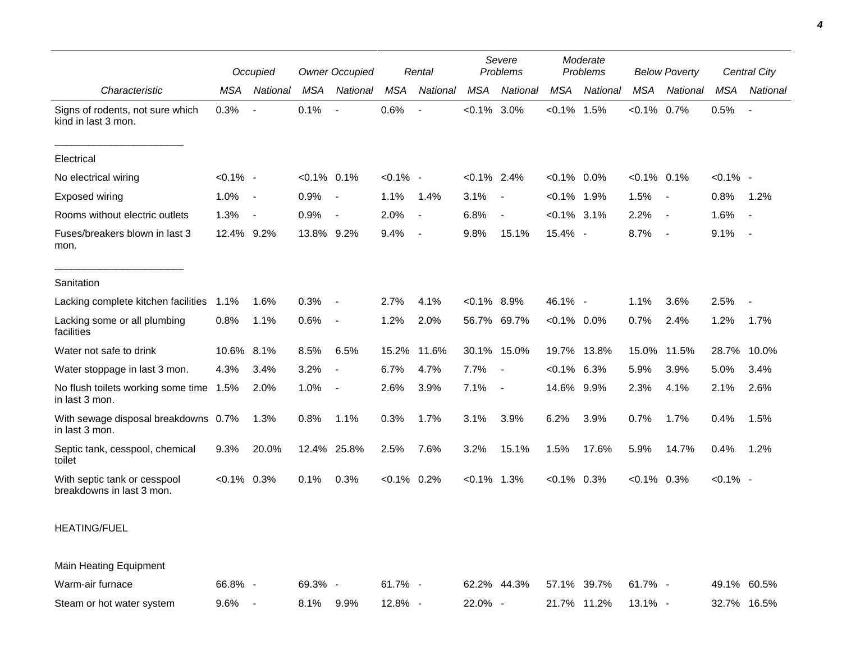|                                                           | Occupied      |                | <b>Owner Occupied</b> |                          | Rental      |                |                | Severe<br>Problems | Moderate<br>Problems |             | <b>Below Poverty</b> |                | <b>Central City</b> |                          |
|-----------------------------------------------------------|---------------|----------------|-----------------------|--------------------------|-------------|----------------|----------------|--------------------|----------------------|-------------|----------------------|----------------|---------------------|--------------------------|
| Characteristic                                            | <b>MSA</b>    | National       | <b>MSA</b>            | National                 | MSA         | National       | <b>MSA</b>     | National           | MSA                  | National    | <b>MSA</b>           | National       | MSA                 | National                 |
| Signs of rodents, not sure which<br>kind in last 3 mon.   | 0.3%          |                | 0.1%                  | $\overline{\phantom{a}}$ | 0.6%        |                | $< 0.1\%$ 3.0% |                    | $< 0.1\%$ 1.5%       |             | $< 0.1\%$ 0.7%       |                | 0.5%                | $\blacksquare$           |
| Electrical                                                |               |                |                       |                          |             |                |                |                    |                      |             |                      |                |                     |                          |
| No electrical wiring                                      | $< 0.1\%$ -   |                | $< 0.1\%$ 0.1%        |                          | $< 0.1\%$ - |                | $< 0.1\%$ 2.4% |                    | $< 0.1\%$ 0.0%       |             | $< 0.1\%$ 0.1%       |                | $< 0.1\%$ -         |                          |
| Exposed wiring                                            | 1.0%          | $\sim$         | 0.9%                  | $\overline{\phantom{a}}$ | 1.1%        | 1.4%           | 3.1%           | $\sim$             | $< 0.1\%$ 1.9%       |             | 1.5%                 | $\blacksquare$ | 0.8%                | 1.2%                     |
| Rooms without electric outlets                            | 1.3%          | $\sim$         | 0.9%                  | $\overline{\phantom{a}}$ | 2.0%        | $\blacksquare$ | 6.8%           | $\blacksquare$     | $< 0.1\%$ 3.1%       |             | 2.2%                 | $\blacksquare$ | 1.6%                | $\overline{\phantom{a}}$ |
| Fuses/breakers blown in last 3<br>mon.                    | 12.4% 9.2%    |                | 13.8% 9.2%            |                          | 9.4%        | $\blacksquare$ | 9.8%           | 15.1%              | 15.4% -              |             | 8.7%                 | $\blacksquare$ | 9.1%                | $\sim$                   |
| Sanitation                                                |               |                |                       |                          |             |                |                |                    |                      |             |                      |                |                     |                          |
| Lacking complete kitchen facilities                       | 1.1%          | 1.6%           | 0.3%                  | $\blacksquare$           | 2.7%        | 4.1%           | $< 0.1\%$ 8.9% |                    | 46.1% -              |             | 1.1%                 | 3.6%           | 2.5%                |                          |
| Lacking some or all plumbing<br>facilities                | 0.8%          | 1.1%           | 0.6%                  | $\overline{\phantom{a}}$ | 1.2%        | 2.0%           |                | 56.7% 69.7%        | $< 0.1\%$ 0.0%       |             | 0.7%                 | 2.4%           | 1.2%                | 1.7%                     |
| Water not safe to drink                                   | 10.6%         | 8.1%           | 8.5%                  | 6.5%                     | 15.2%       | 11.6%          | 30.1%          | 15.0%              | 19.7%                | 13.8%       | 15.0%                | 11.5%          | 28.7%               | 10.0%                    |
| Water stoppage in last 3 mon.                             | 4.3%          | 3.4%           | 3.2%                  | $\overline{\phantom{a}}$ | 6.7%        | 4.7%           | 7.7%           | $\sim$             | $< 0.1\%$ 6.3%       |             | 5.9%                 | 3.9%           | 5.0%                | 3.4%                     |
| No flush toilets working some time 1.5%<br>in last 3 mon. |               | 2.0%           | 1.0%                  | $\overline{\phantom{a}}$ | 2.6%        | 3.9%           | 7.1%           | $\sim$ $-$         | 14.6% 9.9%           |             | 2.3%                 | 4.1%           | 2.1%                | 2.6%                     |
| With sewage disposal breakdowns 0.7%<br>in last 3 mon.    |               | 1.3%           | 0.8%                  | 1.1%                     | 0.3%        | 1.7%           | 3.1%           | 3.9%               | 6.2%                 | 3.9%        | 0.7%                 | 1.7%           | 0.4%                | 1.5%                     |
| Septic tank, cesspool, chemical<br>toilet                 | 9.3%          | 20.0%          |                       | 12.4% 25.8%              | 2.5%        | 7.6%           | 3.2%           | 15.1%              | 1.5%                 | 17.6%       | 5.9%                 | 14.7%          | 0.4%                | 1.2%                     |
| With septic tank or cesspool<br>breakdowns in last 3 mon. | $<0.1\%$ 0.3% |                | 0.1%                  | 0.3%                     | $< 0.1\%$   | 0.2%           | $< 0.1\%$      | 1.3%               | $< 0.1\%$ 0.3%       |             | $< 0.1\%$ 0.3%       |                | $< 0.1\%$ -         |                          |
| <b>HEATING/FUEL</b>                                       |               |                |                       |                          |             |                |                |                    |                      |             |                      |                |                     |                          |
| Main Heating Equipment                                    |               |                |                       |                          |             |                |                |                    |                      |             |                      |                |                     |                          |
| Warm-air furnace                                          | 66.8% -       |                | 69.3% -               |                          | 61.7% -     |                |                | 62.2% 44.3%        |                      | 57.1% 39.7% | 61.7% -              |                |                     | 49.1% 60.5%              |
| Steam or hot water system                                 | 9.6%          | $\blacksquare$ | 8.1%                  | 9.9%                     | 12.8% -     |                | 22.0% -        |                    |                      | 21.7% 11.2% | 13.1% -              |                |                     | 32.7% 16.5%              |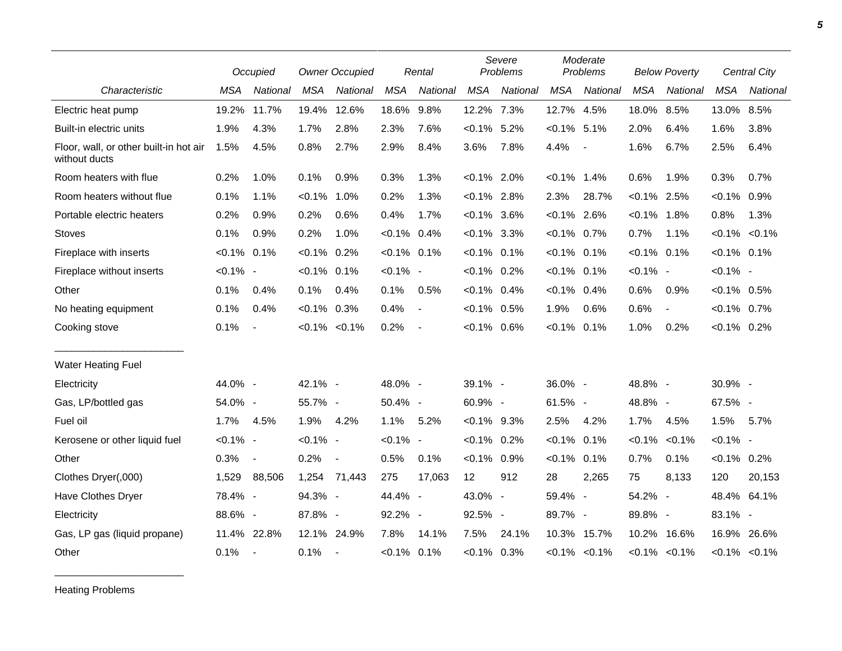|                                                         | Occupied    |                          | <b>Owner Occupied</b> |              | Rental         |                | Severe<br>Problems |          | Moderate<br>Problems |                     | <b>Below Poverty</b> |                     | <b>Central City</b> |                     |
|---------------------------------------------------------|-------------|--------------------------|-----------------------|--------------|----------------|----------------|--------------------|----------|----------------------|---------------------|----------------------|---------------------|---------------------|---------------------|
| Characteristic                                          | <b>MSA</b>  | National                 | <b>MSA</b>            | National     | <b>MSA</b>     | National       | <b>MSA</b>         | National | <b>MSA</b>           | National            | <b>MSA</b>           | National            | <b>MSA</b>          | National            |
| Electric heat pump                                      | 19.2%       | 11.7%                    | 19.4%                 | 12.6%        | 18.6%          | 9.8%           | 12.2% 7.3%         |          | 12.7% 4.5%           |                     | 18.0%                | 8.5%                | 13.0%               | 8.5%                |
| Built-in electric units                                 | 1.9%        | 4.3%                     | 1.7%                  | 2.8%         | 2.3%           | 7.6%           | $< 0.1\%$ 5.2%     |          | $< 0.1\%$ 5.1%       |                     | 2.0%                 | 6.4%                | 1.6%                | 3.8%                |
| Floor, wall, or other built-in hot air<br>without ducts | 1.5%        | 4.5%                     | 0.8%                  | 2.7%         | 2.9%           | 8.4%           | 3.6%               | 7.8%     | 4.4%                 | $\blacksquare$      | 1.6%                 | 6.7%                | 2.5%                | 6.4%                |
| Room heaters with flue                                  | 0.2%        | 1.0%                     | 0.1%                  | 0.9%         | 0.3%           | 1.3%           | $< 0.1\%$ 2.0%     |          | $< 0.1\%$            | 1.4%                | 0.6%                 | 1.9%                | 0.3%                | 0.7%                |
| Room heaters without flue                               | 0.1%        | 1.1%                     | $< 0.1\%$             | 1.0%         | 0.2%           | 1.3%           | $< 0.1\%$ 2.8%     |          | 2.3%                 | 28.7%               | $< 0.1\%$ 2.5%       |                     | $< 0.1\%$ 0.9%      |                     |
| Portable electric heaters                               | 0.2%        | 0.9%                     | 0.2%                  | 0.6%         | 0.4%           | 1.7%           | $< 0.1\%$ 3.6%     |          | $< 0.1\%$ 2.6%       |                     | $< 0.1\%$ 1.8%       |                     | 0.8%                | 1.3%                |
| <b>Stoves</b>                                           | 0.1%        | 0.9%                     | 0.2%                  | 1.0%         | $< 0.1\%$ 0.4% |                | $<0.1\%$ 3.3%      |          | $< 0.1\%$ 0.7%       |                     | 0.7%                 | 1.1%                |                     | $< 0.1\%$ $< 0.1\%$ |
| Fireplace with inserts                                  | $< 0.1\%$   | 0.1%                     | $< 0.1\%$ 0.2%        |              | $< 0.1\%$ 0.1% |                | $< 0.1\%$ 0.1%     |          | $< 0.1\%$ 0.1%       |                     | $< 0.1\%$ 0.1%       |                     | $< 0.1\%$ 0.1%      |                     |
| Fireplace without inserts                               | $< 0.1\%$ - |                          | $< 0.1\%$ 0.1%        |              | $< 0.1\%$ -    |                | $< 0.1\%$ 0.2%     |          | $< 0.1\%$ 0.1%       |                     | $< 0.1\%$ -          |                     | $< 0.1\%$ -         |                     |
| Other                                                   | 0.1%        | 0.4%                     | 0.1%                  | 0.4%         | 0.1%           | 0.5%           | $< 0.1\%$ 0.4%     |          | $< 0.1\%$ 0.4%       |                     | 0.6%                 | 0.9%                | $< 0.1\%$ 0.5%      |                     |
| No heating equipment                                    | 0.1%        | 0.4%                     | $< 0.1\%$ 0.3%        |              | 0.4%           | $\blacksquare$ | $< 0.1\%$ 0.5%     |          | 1.9%                 | 0.6%                | 0.6%                 | $\blacksquare$      | $< 0.1\%$ 0.7%      |                     |
| Cooking stove                                           | 0.1%        | $\blacksquare$           | $< 0.1\% < 0.1\%$     |              | 0.2%           | $\blacksquare$ | $< 0.1\%$ 0.6%     |          | $< 0.1\%$            | 0.1%                | 1.0%                 | 0.2%                | $< 0.1\%$ 0.2%      |                     |
| <b>Water Heating Fuel</b>                               |             |                          |                       |              |                |                |                    |          |                      |                     |                      |                     |                     |                     |
| Electricity                                             | 44.0% -     |                          | 42.1% -               |              | 48.0% -        |                | 39.1% -            |          | 36.0% -              |                     | 48.8% -              |                     | 30.9% -             |                     |
| Gas, LP/bottled gas                                     | 54.0% -     |                          | 55.7% -               |              | 50.4% -        |                | 60.9% -            |          | 61.5% -              |                     | 48.8% -              |                     | 67.5% -             |                     |
| Fuel oil                                                | 1.7%        | 4.5%                     | 1.9%                  | 4.2%         | 1.1%           | 5.2%           | $< 0.1\%$ 9.3%     |          | 2.5%                 | 4.2%                | 1.7%                 | 4.5%                | 1.5%                | 5.7%                |
| Kerosene or other liquid fuel                           | $< 0.1\%$ - |                          | $< 0.1\%$ -           |              | $< 0.1\%$ -    |                | $< 0.1\%$ 0.2%     |          | $< 0.1\%$            | 0.1%                | $< 0.1\%$            | $< 0.1\%$           | $< 0.1\%$ -         |                     |
| Other                                                   | 0.3%        | $\overline{\phantom{a}}$ | 0.2%                  | $\sim$ $-$   | 0.5%           | 0.1%           | $< 0.1\%$ 0.9%     |          | $< 0.1\%$            | 0.1%                | 0.7%                 | 0.1%                | $< 0.1\%$ 0.2%      |                     |
| Clothes Dryer(,000)                                     | 1,529       | 88,506                   |                       | 1,254 71,443 | 275            | 17,063         | 12                 | 912      | 28                   | 2,265               | 75                   | 8,133               | 120                 | 20,153              |
| Have Clothes Dryer                                      | 78.4% -     |                          | 94.3% -               |              | 44.4% -        |                | 43.0% -            |          | 59.4% -              |                     | 54.2% -              |                     |                     | 48.4% 64.1%         |
| Electricity                                             | 88.6% -     |                          | 87.8% -               |              | 92.2% -        |                | 92.5% -            |          | 89.7% -              |                     | 89.8% -              |                     | 83.1% -             |                     |
| Gas, LP gas (liquid propane)                            | 11.4%       | 22.8%                    | 12.1% 24.9%           |              | 7.8%           | 14.1%          | 7.5%               | 24.1%    |                      | 10.3% 15.7%         | 10.2%                | 16.6%               | 16.9%               | 26.6%               |
| Other                                                   | 0.1%        | $\blacksquare$           | 0.1%                  | $\sim$ $-$   | $< 0.1\%$ 0.1% |                | $< 0.1\%$ 0.3%     |          |                      | $< 0.1\%$ $< 0.1\%$ |                      | $< 0.1\%$ $< 0.1\%$ |                     | $< 0.1\% < 0.1\%$   |

Heating Problems

\_\_\_\_\_\_\_\_\_\_\_\_\_\_\_\_\_\_\_\_\_\_\_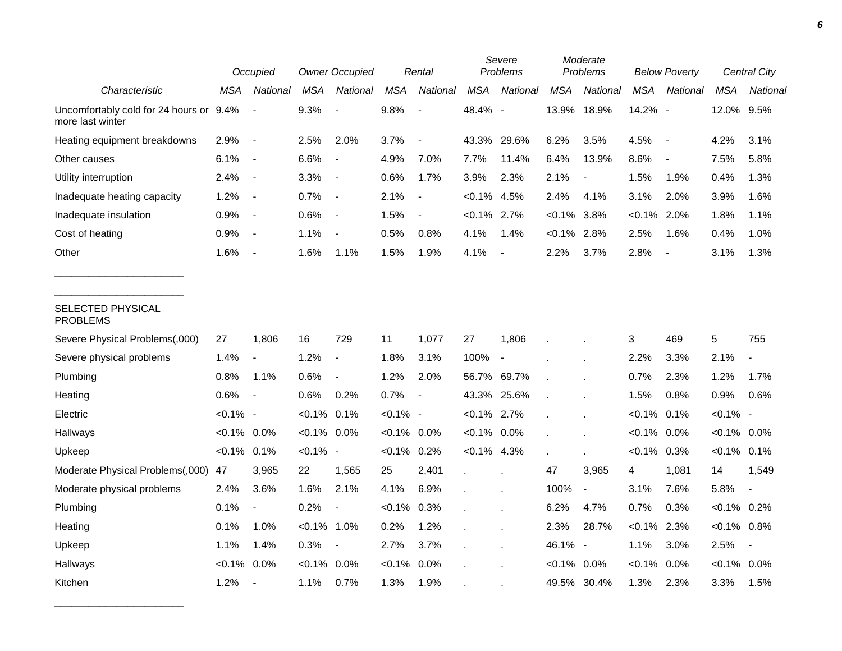|                                                             |                | Occupied                 |                | <b>Owner Occupied</b>    |             | Rental                   |                | Severe<br>Problems       |                | Moderate<br>Problems     |            | <b>Below Poverty</b>     |                | Central City   |
|-------------------------------------------------------------|----------------|--------------------------|----------------|--------------------------|-------------|--------------------------|----------------|--------------------------|----------------|--------------------------|------------|--------------------------|----------------|----------------|
| Characteristic                                              | MSA            | National                 | <b>MSA</b>     | National                 | <b>MSA</b>  | National                 | <b>MSA</b>     | National                 | <b>MSA</b>     | National                 | <b>MSA</b> | National                 | <b>MSA</b>     | National       |
| Uncomfortably cold for 24 hours or 9.4%<br>more last winter |                |                          | 9.3%           |                          | 9.8%        | $\overline{\phantom{a}}$ | 48.4% -        |                          | 13.9%          | 18.9%                    | 14.2% -    |                          | 12.0% 9.5%     |                |
| Heating equipment breakdowns                                | 2.9%           | $\overline{\phantom{a}}$ | 2.5%           | 2.0%                     | 3.7%        | $\overline{\phantom{a}}$ | 43.3%          | 29.6%                    | 6.2%           | 3.5%                     | 4.5%       | $\overline{\phantom{a}}$ | 4.2%           | 3.1%           |
| Other causes                                                | 6.1%           | $\blacksquare$           | 6.6%           |                          | 4.9%        | 7.0%                     | 7.7%           | 11.4%                    | 6.4%           | 13.9%                    | 8.6%       | $\overline{\phantom{a}}$ | 7.5%           | 5.8%           |
| Utility interruption                                        | 2.4%           | $\overline{\phantom{a}}$ | 3.3%           | $\overline{\phantom{a}}$ | 0.6%        | 1.7%                     | 3.9%           | 2.3%                     | 2.1%           | $\overline{\phantom{a}}$ | 1.5%       | 1.9%                     | 0.4%           | 1.3%           |
| Inadequate heating capacity                                 | 1.2%           | $\overline{\phantom{a}}$ | 0.7%           | $\blacksquare$           | 2.1%        | $\overline{\phantom{a}}$ | $< 0.1\%$      | 4.5%                     | 2.4%           | 4.1%                     | 3.1%       | 2.0%                     | 3.9%           | 1.6%           |
| Inadequate insulation                                       | 0.9%           | $\blacksquare$           | 0.6%           | $\overline{\phantom{a}}$ | 1.5%        | $\overline{\phantom{a}}$ | $< 0.1\%$ 2.7% |                          | $< 0.1\%$      | 3.8%                     | $< 0.1\%$  | 2.0%                     | 1.8%           | 1.1%           |
| Cost of heating                                             | 0.9%           | $\overline{\phantom{a}}$ | 1.1%           |                          | 0.5%        | 0.8%                     | 4.1%           | 1.4%                     | $< 0.1\%$      | 2.8%                     | 2.5%       | 1.6%                     | 0.4%           | 1.0%           |
| Other                                                       | 1.6%           | $\overline{\phantom{a}}$ | 1.6%           | 1.1%                     | 1.5%        | 1.9%                     | 4.1%           |                          | 2.2%           | 3.7%                     | 2.8%       | $\overline{\phantom{a}}$ | 3.1%           | 1.3%           |
| SELECTED PHYSICAL<br><b>PROBLEMS</b>                        |                |                          |                |                          |             |                          |                |                          |                |                          |            |                          |                |                |
| Severe Physical Problems(,000)                              | 27             | 1,806                    | 16             | 729                      | 11          | 1,077                    | 27             | 1,806                    |                |                          | 3          | 469                      | $\,$ 5 $\,$    | 755            |
| Severe physical problems                                    | 1.4%           | $\overline{a}$           | 1.2%           | $\overline{\phantom{a}}$ | 1.8%        | 3.1%                     | 100%           | $\overline{\phantom{a}}$ |                |                          | 2.2%       | 3.3%                     | 2.1%           | $\overline{a}$ |
| Plumbing                                                    | 0.8%           | 1.1%                     | 0.6%           | $\overline{\phantom{a}}$ | 1.2%        | 2.0%                     |                | 56.7% 69.7%              |                |                          | 0.7%       | 2.3%                     | 1.2%           | 1.7%           |
| Heating                                                     | 0.6%           | $\overline{\phantom{a}}$ | 0.6%           | 0.2%                     | 0.7%        | $\overline{\phantom{a}}$ | 43.3%          | 25.6%                    |                |                          | 1.5%       | 0.8%                     | 0.9%           | 0.6%           |
| Electric                                                    | $< 0.1\%$ -    |                          | $< 0.1\%$ 0.1% |                          | $< 0.1\%$ - |                          | $< 0.1\%$ 2.7% |                          |                |                          | $< 0.1\%$  | 0.1%                     | $< 0.1\%$ -    |                |
| Hallways                                                    | $< 0.1\%$ 0.0% |                          | $< 0.1\%$      | 0.0%                     | $< 0.1\%$   | $0.0\%$                  | $< 0.1\%$ 0.0% |                          |                |                          | $< 0.1\%$  | 0.0%                     | $< 0.1\%$ 0.0% |                |
| Upkeep                                                      | $< 0.1\%$ 0.1% |                          | $< 0.1\%$ -    |                          | $< 0.1\%$   | 0.2%                     | $< 0.1\%$ 4.3% |                          |                |                          | $< 0.1\%$  | 0.3%                     | $< 0.1\%$ 0.1% |                |
| Moderate Physical Problems(,000)                            | 47             | 3,965                    | 22             | 1,565                    | 25          | 2,401                    | $\mathbf{r}$   |                          | 47             | 3,965                    | 4          | 1,081                    | 14             | 1,549          |
| Moderate physical problems                                  | 2.4%           | 3.6%                     | 1.6%           | 2.1%                     | 4.1%        | 6.9%                     |                |                          | 100%           | $\overline{\phantom{a}}$ | 3.1%       | 7.6%                     | 5.8%           |                |
| Plumbing                                                    | 0.1%           | $\overline{\phantom{a}}$ | 0.2%           |                          | $< 0.1\%$   | 0.3%                     |                |                          | 6.2%           | 4.7%                     | 0.7%       | 0.3%                     | $< 0.1\%$ 0.2% |                |
| Heating                                                     | 0.1%           | 1.0%                     | $< 0.1\%$      | 1.0%                     | 0.2%        | 1.2%                     |                |                          | 2.3%           | 28.7%                    | $< 0.1\%$  | 2.3%                     | $< 0.1\%$ 0.8% |                |
| Upkeep                                                      | 1.1%           | 1.4%                     | 0.3%           | $\blacksquare$           | 2.7%        | 3.7%                     |                |                          | 46.1%          | $\overline{\phantom{a}}$ | 1.1%       | 3.0%                     | 2.5%           | $\blacksquare$ |
| Hallways                                                    | $< 0.1\%$      | 0.0%                     | $< 0.1\%$      | 0.0%                     | $< 0.1\%$   | 0.0%                     |                |                          | $< 0.1\%$ 0.0% |                          | $< 0.1\%$  | 0.0%                     | $< 0.1\%$      | $0.0\%$        |
| Kitchen                                                     | 1.2%           | $\blacksquare$           | 1.1%           | 0.7%                     | 1.3%        | 1.9%                     |                |                          |                | 49.5% 30.4%              | 1.3%       | 2.3%                     | 3.3%           | 1.5%           |

\_\_\_\_\_\_\_\_\_\_\_\_\_\_\_\_\_\_\_\_\_\_\_